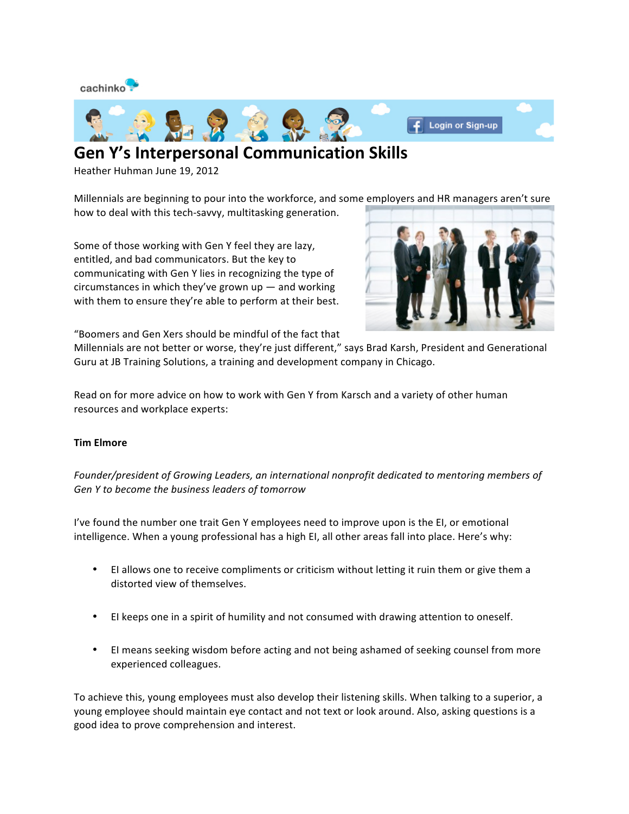

## **Gen Y's Interpersonal Communication Skills**

Heather Huhman June 19, 2012

Millennials are beginning to pour into the workforce, and some employers and HR managers aren't sure how to deal with this tech-savvy, multitasking generation.

Some of those working with Gen Y feel they are lazy, entitled, and bad communicators. But the key to communicating with Gen Y lies in recognizing the type of circumstances in which they've grown  $up$  — and working with them to ensure they're able to perform at their best.



"Boomers and Gen Xers should be mindful of the fact that

Millennials are not better or worse, they're just different," says Brad Karsh, President and Generational Guru at JB Training Solutions, a training and development company in Chicago.

Read on for more advice on how to work with Gen Y from Karsch and a variety of other human resources and workplace experts:

## **Tim Elmore**

Founder/president of Growing Leaders, an international nonprofit dedicated to mentoring members of Gen Y to become the business leaders of tomorrow

I've found the number one trait Gen Y employees need to improve upon is the EI, or emotional intelligence. When a young professional has a high EI, all other areas fall into place. Here's why:

- EI allows one to receive compliments or criticism without letting it ruin them or give them a distorted view of themselves.
- El keeps one in a spirit of humility and not consumed with drawing attention to oneself.
- EI means seeking wisdom before acting and not being ashamed of seeking counsel from more experienced colleagues.

To achieve this, young employees must also develop their listening skills. When talking to a superior, a young employee should maintain eye contact and not text or look around. Also, asking questions is a good idea to prove comprehension and interest.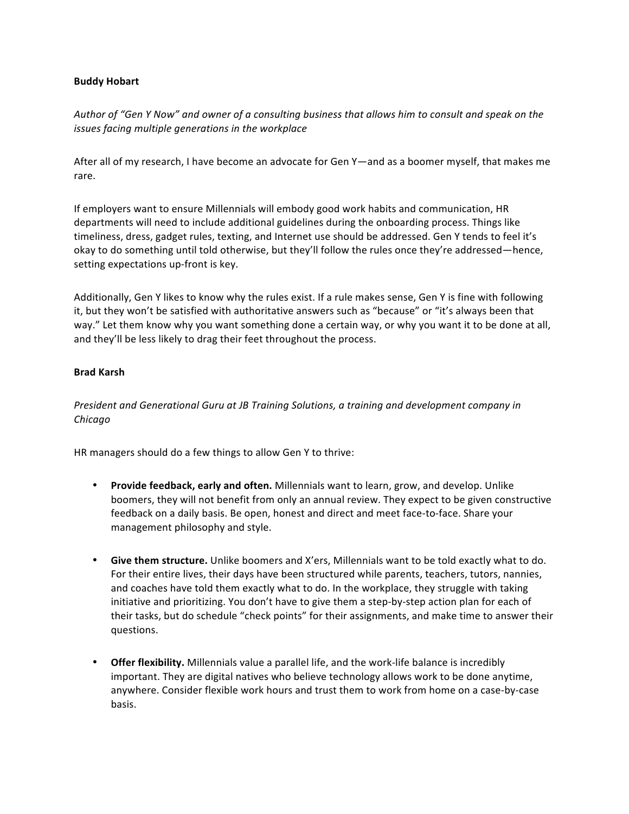## **Buddy Hobart**

Author of "Gen Y Now" and owner of a consulting business that allows him to consult and speak on the *issues facing multiple generations in the workplace* 

After all of my research, I have become an advocate for Gen Y—and as a boomer myself, that makes me rare.

If employers want to ensure Millennials will embody good work habits and communication, HR departments will need to include additional guidelines during the onboarding process. Things like timeliness, dress, gadget rules, texting, and Internet use should be addressed. Gen Y tends to feel it's okay to do something until told otherwise, but they'll follow the rules once they're addressed—hence, setting expectations up-front is key.

Additionally, Gen Y likes to know why the rules exist. If a rule makes sense, Gen Y is fine with following it, but they won't be satisfied with authoritative answers such as "because" or "it's always been that way." Let them know why you want something done a certain way, or why you want it to be done at all, and they'll be less likely to drag their feet throughout the process.

## **Brad Karsh**

*President and Generational Guru at JB Training Solutions, a training and development company in Chicago* 

HR managers should do a few things to allow Gen Y to thrive:

- Provide feedback, early and often. Millennials want to learn, grow, and develop. Unlike boomers, they will not benefit from only an annual review. They expect to be given constructive feedback on a daily basis. Be open, honest and direct and meet face-to-face. Share your management philosophy and style.
- Give them structure. Unlike boomers and X'ers, Millennials want to be told exactly what to do. For their entire lives, their days have been structured while parents, teachers, tutors, nannies, and coaches have told them exactly what to do. In the workplace, they struggle with taking initiative and prioritizing. You don't have to give them a step-by-step action plan for each of their tasks, but do schedule "check points" for their assignments, and make time to answer their questions.
- **Offer flexibility.** Millennials value a parallel life, and the work-life balance is incredibly important. They are digital natives who believe technology allows work to be done anytime, anywhere. Consider flexible work hours and trust them to work from home on a case-by-case basis.